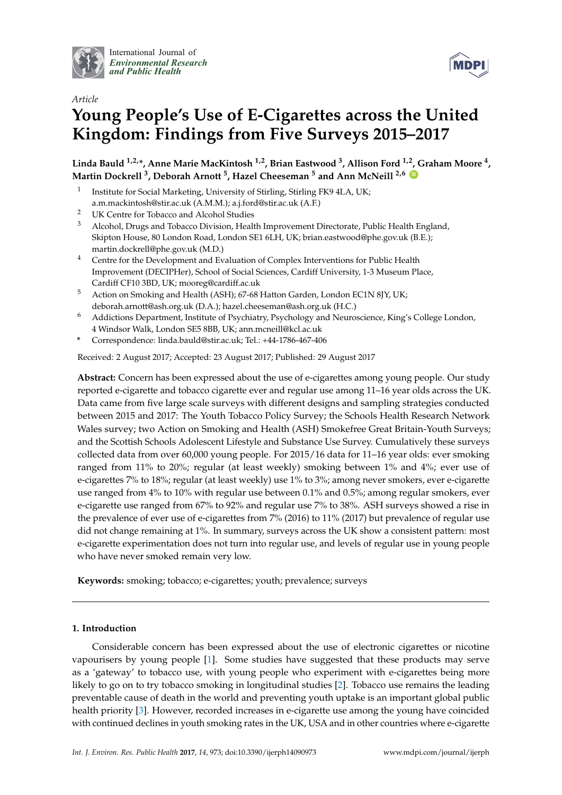

International Journal of *[Environmental Research](http://www.mdpi.com/journal/ijerph) and Public Health*



# *Article* **Young People's Use of E-Cigarettes across the United Kingdom: Findings from Five Surveys 2015–2017**

**Linda Bauld 1,2,\*, Anne Marie MacKintosh 1,2, Brian Eastwood <sup>3</sup> , Allison Ford 1,2, Graham Moore <sup>4</sup> , Martin Dockrell <sup>3</sup> , Deborah Arnott <sup>5</sup> , Hazel Cheeseman <sup>5</sup> and Ann McNeill 2,6 [ID](https://orcid.org/0000-0002-6223-4000)**

- 1 Institute for Social Marketing, University of Stirling, Stirling FK9 4LA, UK; a.m.mackintosh@stir.ac.uk (A.M.M.); a.j.ford@stir.ac.uk (A.F.)
- <sup>2</sup> UK Centre for Tobacco and Alcohol Studies
- <sup>3</sup> Alcohol, Drugs and Tobacco Division, Health Improvement Directorate, Public Health England, Skipton House, 80 London Road, London SE1 6LH, UK; brian.eastwood@phe.gov.uk (B.E.); martin.dockrell@phe.gov.uk (M.D.)
- <sup>4</sup> Centre for the Development and Evaluation of Complex Interventions for Public Health Improvement (DECIPHer), School of Social Sciences, Cardiff University, 1-3 Museum Place, Cardiff CF10 3BD, UK; mooreg@cardiff.ac.uk
- <sup>5</sup> Action on Smoking and Health (ASH); 67-68 Hatton Garden, London EC1N 8JY, UK; deborah.arnott@ash.org.uk (D.A.); hazel.cheeseman@ash.org.uk (H.C.)
- <sup>6</sup> Addictions Department, Institute of Psychiatry, Psychology and Neuroscience, King's College London, 4 Windsor Walk, London SE5 8BB, UK; ann.mcneill@kcl.ac.uk
- **\*** Correspondence: linda.bauld@stir.ac.uk; Tel.: +44-1786-467-406

Received: 2 August 2017; Accepted: 23 August 2017; Published: 29 August 2017

**Abstract:** Concern has been expressed about the use of e-cigarettes among young people. Our study reported e-cigarette and tobacco cigarette ever and regular use among 11–16 year olds across the UK. Data came from five large scale surveys with different designs and sampling strategies conducted between 2015 and 2017: The Youth Tobacco Policy Survey; the Schools Health Research Network Wales survey; two Action on Smoking and Health (ASH) Smokefree Great Britain-Youth Surveys; and the Scottish Schools Adolescent Lifestyle and Substance Use Survey. Cumulatively these surveys collected data from over 60,000 young people. For 2015/16 data for 11–16 year olds: ever smoking ranged from 11% to 20%; regular (at least weekly) smoking between 1% and 4%; ever use of e-cigarettes 7% to 18%; regular (at least weekly) use 1% to 3%; among never smokers, ever e-cigarette use ranged from 4% to 10% with regular use between 0.1% and 0.5%; among regular smokers, ever e-cigarette use ranged from 67% to 92% and regular use 7% to 38%. ASH surveys showed a rise in the prevalence of ever use of e-cigarettes from 7% (2016) to 11% (2017) but prevalence of regular use did not change remaining at 1%. In summary, surveys across the UK show a consistent pattern: most e-cigarette experimentation does not turn into regular use, and levels of regular use in young people who have never smoked remain very low.

**Keywords:** smoking; tobacco; e-cigarettes; youth; prevalence; surveys

## **1. Introduction**

Considerable concern has been expressed about the use of electronic cigarettes or nicotine vapourisers by young people [\[1\]](#page-10-0). Some studies have suggested that these products may serve as a 'gateway' to tobacco use, with young people who experiment with e-cigarettes being more likely to go on to try tobacco smoking in longitudinal studies [\[2\]](#page-10-1). Tobacco use remains the leading preventable cause of death in the world and preventing youth uptake is an important global public health priority [\[3\]](#page-10-2). However, recorded increases in e-cigarette use among the young have coincided with continued declines in youth smoking rates in the UK, USA and in other countries where e-cigarette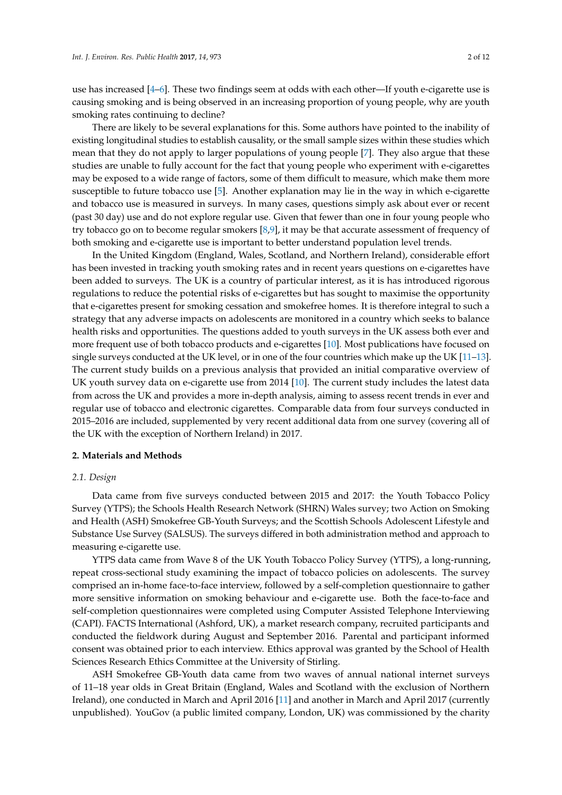use has increased [\[4](#page-10-3)[–6\]](#page-10-4). These two findings seem at odds with each other—If youth e-cigarette use is causing smoking and is being observed in an increasing proportion of young people, why are youth smoking rates continuing to decline?

There are likely to be several explanations for this. Some authors have pointed to the inability of existing longitudinal studies to establish causality, or the small sample sizes within these studies which mean that they do not apply to larger populations of young people [\[7\]](#page-10-5). They also argue that these studies are unable to fully account for the fact that young people who experiment with e-cigarettes may be exposed to a wide range of factors, some of them difficult to measure, which make them more susceptible to future tobacco use [\[5\]](#page-10-6). Another explanation may lie in the way in which e-cigarette and tobacco use is measured in surveys. In many cases, questions simply ask about ever or recent (past 30 day) use and do not explore regular use. Given that fewer than one in four young people who try tobacco go on to become regular smokers [\[8,](#page-10-7)[9\]](#page-10-8), it may be that accurate assessment of frequency of both smoking and e-cigarette use is important to better understand population level trends.

In the United Kingdom (England, Wales, Scotland, and Northern Ireland), considerable effort has been invested in tracking youth smoking rates and in recent years questions on e-cigarettes have been added to surveys. The UK is a country of particular interest, as it is has introduced rigorous regulations to reduce the potential risks of e-cigarettes but has sought to maximise the opportunity that e-cigarettes present for smoking cessation and smokefree homes. It is therefore integral to such a strategy that any adverse impacts on adolescents are monitored in a country which seeks to balance health risks and opportunities. The questions added to youth surveys in the UK assess both ever and more frequent use of both tobacco products and e-cigarettes [\[10\]](#page-10-9). Most publications have focused on single surveys conducted at the UK level, or in one of the four countries which make up the UK [\[11–](#page-10-10)[13\]](#page-10-11). The current study builds on a previous analysis that provided an initial comparative overview of UK youth survey data on e-cigarette use from 2014 [\[10\]](#page-10-9). The current study includes the latest data from across the UK and provides a more in-depth analysis, aiming to assess recent trends in ever and regular use of tobacco and electronic cigarettes. Comparable data from four surveys conducted in 2015–2016 are included, supplemented by very recent additional data from one survey (covering all of the UK with the exception of Northern Ireland) in 2017.

#### **2. Materials and Methods**

#### *2.1. Design*

Data came from five surveys conducted between 2015 and 2017: the Youth Tobacco Policy Survey (YTPS); the Schools Health Research Network (SHRN) Wales survey; two Action on Smoking and Health (ASH) Smokefree GB-Youth Surveys; and the Scottish Schools Adolescent Lifestyle and Substance Use Survey (SALSUS). The surveys differed in both administration method and approach to measuring e-cigarette use.

YTPS data came from Wave 8 of the UK Youth Tobacco Policy Survey (YTPS), a long-running, repeat cross-sectional study examining the impact of tobacco policies on adolescents. The survey comprised an in-home face-to-face interview, followed by a self-completion questionnaire to gather more sensitive information on smoking behaviour and e-cigarette use. Both the face-to-face and self-completion questionnaires were completed using Computer Assisted Telephone Interviewing (CAPI). FACTS International (Ashford, UK), a market research company, recruited participants and conducted the fieldwork during August and September 2016. Parental and participant informed consent was obtained prior to each interview. Ethics approval was granted by the School of Health Sciences Research Ethics Committee at the University of Stirling.

ASH Smokefree GB-Youth data came from two waves of annual national internet surveys of 11–18 year olds in Great Britain (England, Wales and Scotland with the exclusion of Northern Ireland), one conducted in March and April 2016 [\[11\]](#page-10-10) and another in March and April 2017 (currently unpublished). YouGov (a public limited company, London, UK) was commissioned by the charity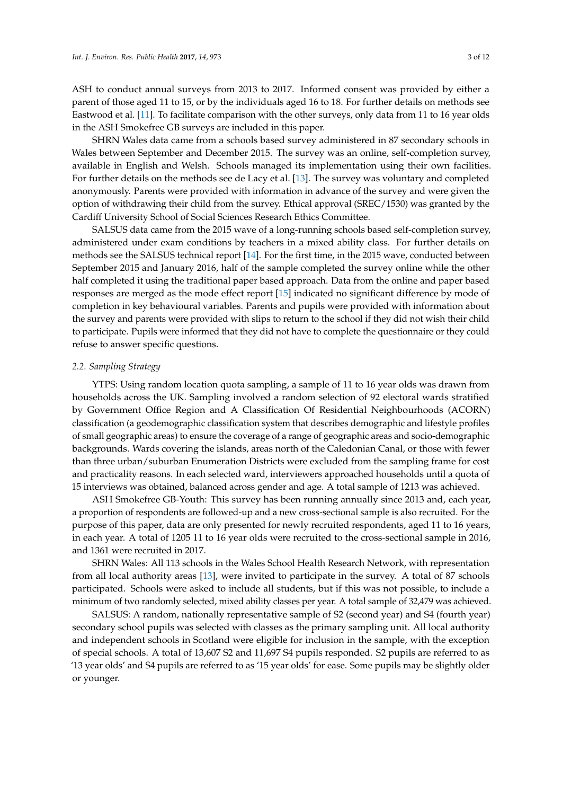ASH to conduct annual surveys from 2013 to 2017. Informed consent was provided by either a parent of those aged 11 to 15, or by the individuals aged 16 to 18. For further details on methods see Eastwood et al. [\[11\]](#page-10-10). To facilitate comparison with the other surveys, only data from 11 to 16 year olds in the ASH Smokefree GB surveys are included in this paper.

SHRN Wales data came from a schools based survey administered in 87 secondary schools in Wales between September and December 2015. The survey was an online, self-completion survey, available in English and Welsh. Schools managed its implementation using their own facilities. For further details on the methods see de Lacy et al. [\[13\]](#page-10-11). The survey was voluntary and completed anonymously. Parents were provided with information in advance of the survey and were given the option of withdrawing their child from the survey. Ethical approval (SREC/1530) was granted by the Cardiff University School of Social Sciences Research Ethics Committee.

SALSUS data came from the 2015 wave of a long-running schools based self-completion survey, administered under exam conditions by teachers in a mixed ability class. For further details on methods see the SALSUS technical report [\[14\]](#page-10-12). For the first time, in the 2015 wave, conducted between September 2015 and January 2016, half of the sample completed the survey online while the other half completed it using the traditional paper based approach. Data from the online and paper based responses are merged as the mode effect report [\[15\]](#page-10-13) indicated no significant difference by mode of completion in key behavioural variables. Parents and pupils were provided with information about the survey and parents were provided with slips to return to the school if they did not wish their child to participate. Pupils were informed that they did not have to complete the questionnaire or they could refuse to answer specific questions.

## *2.2. Sampling Strategy*

YTPS: Using random location quota sampling, a sample of 11 to 16 year olds was drawn from households across the UK. Sampling involved a random selection of 92 electoral wards stratified by Government Office Region and A Classification Of Residential Neighbourhoods (ACORN) classification (a geodemographic classification system that describes demographic and lifestyle profiles of small geographic areas) to ensure the coverage of a range of geographic areas and socio-demographic backgrounds. Wards covering the islands, areas north of the Caledonian Canal, or those with fewer than three urban/suburban Enumeration Districts were excluded from the sampling frame for cost and practicality reasons. In each selected ward, interviewers approached households until a quota of 15 interviews was obtained, balanced across gender and age. A total sample of 1213 was achieved.

ASH Smokefree GB-Youth: This survey has been running annually since 2013 and, each year, a proportion of respondents are followed-up and a new cross-sectional sample is also recruited. For the purpose of this paper, data are only presented for newly recruited respondents, aged 11 to 16 years, in each year. A total of 1205 11 to 16 year olds were recruited to the cross-sectional sample in 2016, and 1361 were recruited in 2017.

SHRN Wales: All 113 schools in the Wales School Health Research Network, with representation from all local authority areas [\[13\]](#page-10-11), were invited to participate in the survey. A total of 87 schools participated. Schools were asked to include all students, but if this was not possible, to include a minimum of two randomly selected, mixed ability classes per year. A total sample of 32,479 was achieved.

SALSUS: A random, nationally representative sample of S2 (second year) and S4 (fourth year) secondary school pupils was selected with classes as the primary sampling unit. All local authority and independent schools in Scotland were eligible for inclusion in the sample, with the exception of special schools. A total of 13,607 S2 and 11,697 S4 pupils responded. S2 pupils are referred to as '13 year olds' and S4 pupils are referred to as '15 year olds' for ease. Some pupils may be slightly older or younger.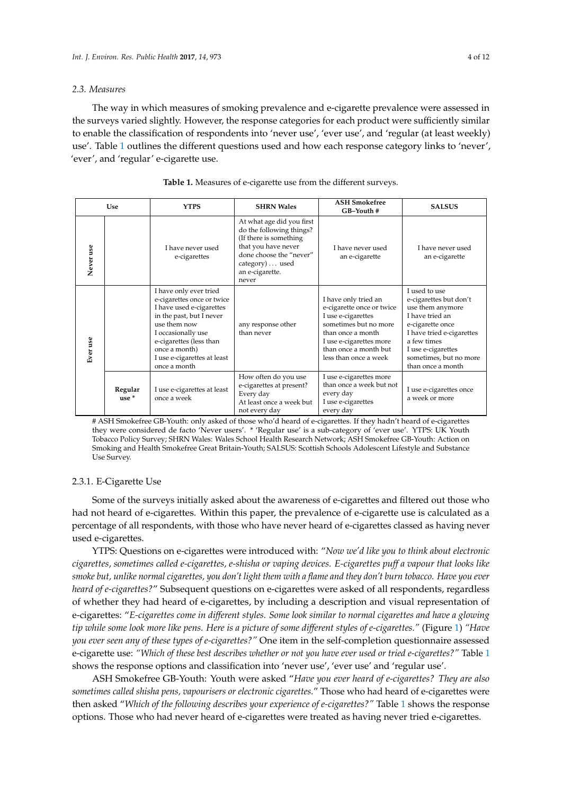#### *2.3. Measures*

The way in which measures of smoking prevalence and e-cigarette prevalence were assessed in the surveys varied slightly. However, the response categories for each product were sufficiently similar to enable the classification of respondents into 'never use', 'ever use', and 'regular (at least weekly) use'. Table [1](#page-3-0) outlines the different questions used and how each response category links to 'never', 'ever', and 'regular' e-cigarette use.

<span id="page-3-0"></span>

| <b>Use</b> |                    | <b>YTPS</b>                                                                                                                                                                                                                                   | <b>SHRN Wales</b>                                                                                                                                                                | <b>ASH Smokefree</b><br>GB-Youth #                                                                                                                                                                 | <b>SALSUS</b>                                                                                                                                                                                                       |
|------------|--------------------|-----------------------------------------------------------------------------------------------------------------------------------------------------------------------------------------------------------------------------------------------|----------------------------------------------------------------------------------------------------------------------------------------------------------------------------------|----------------------------------------------------------------------------------------------------------------------------------------------------------------------------------------------------|---------------------------------------------------------------------------------------------------------------------------------------------------------------------------------------------------------------------|
| Never use  |                    | I have never used<br>e-cigarettes                                                                                                                                                                                                             | At what age did you first<br>do the following things?<br>(If there is something<br>that you have never<br>done choose the "never"<br>category)  used<br>an e-cigarette.<br>never | I have never used<br>an e-cigarette                                                                                                                                                                | I have never used<br>an e-cigarette                                                                                                                                                                                 |
| Ever use   |                    | I have only ever tried<br>e-cigarettes once or twice<br>I have used e-cigarettes<br>in the past, but I never<br>use them now<br>I occasionally use<br>e-cigarettes (less than<br>once a month)<br>I use e-cigarettes at least<br>once a month | any response other<br>than never                                                                                                                                                 | I have only tried an<br>e-cigarette once or twice<br>I use e-cigarettes<br>sometimes but no more<br>than once a month<br>I use e-cigarettes more<br>than once a month but<br>less than once a week | I used to use<br>e-cigarettes but don't<br>use them anymore<br>I have tried an<br>e-cigarette once<br>I have tried e-cigarettes<br>a few times<br>I use e-cigarettes<br>sometimes, but no more<br>than once a month |
|            | Regular<br>$use *$ | I use e-cigarettes at least<br>once a week                                                                                                                                                                                                    | How often do you use<br>e-cigarettes at present?<br>Every day<br>At least once a week but<br>not every day                                                                       | I use e-cigarettes more<br>than once a week but not<br>every day<br>I use e-cigarettes<br>every day                                                                                                | I use e-cigarettes once<br>a week or more                                                                                                                                                                           |

| <b>Table 1.</b> Measures of e-cigarette use from the different surveys. |  |
|-------------------------------------------------------------------------|--|
|-------------------------------------------------------------------------|--|

# ASH Smokefree GB-Youth: only asked of those who'd heard of e-cigarettes. If they hadn't heard of e-cigarettes they were considered de facto 'Never users'. \* 'Regular use' is a sub-category of 'ever use'. YTPS: UK Youth Tobacco Policy Survey; SHRN Wales: Wales School Health Research Network; ASH Smokefree GB-Youth: Action on Smoking and Health Smokefree Great Britain-Youth; SALSUS: Scottish Schools Adolescent Lifestyle and Substance Use Survey.

## 2.3.1. E-Cigarette Use

Some of the surveys initially asked about the awareness of e-cigarettes and filtered out those who had not heard of e-cigarettes. Within this paper, the prevalence of e-cigarette use is calculated as a percentage of all respondents, with those who have never heard of e-cigarettes classed as having never used e-cigarettes.

YTPS: Questions on e-cigarettes were introduced with: "*Now we'd like you to think about electronic cigarettes, sometimes called e-cigarettes, e-shisha or vaping devices. E-cigarettes puff a vapour that looks like smoke but, unlike normal cigarettes, you don't light them with a flame and they don't burn tobacco. Have you ever heard of e-cigarettes?*" Subsequent questions on e-cigarettes were asked of all respondents, regardless of whether they had heard of e-cigarettes, by including a description and visual representation of e-cigarettes: "*E-cigarettes come in different styles. Some look similar to normal cigarettes and have a glowing tip while some look more like pens. Here is a picture of some different styles of e-cigarettes."* (Figure [1\)](#page-4-0) *"Have you ever seen any of these types of e-cigarettes?"* One item in the self-completion questionnaire assessed e-cigarette use: *"Which of these best describes whether or not you have ever used or tried e-cigarettes?"* Table [1](#page-3-0) shows the response options and classification into 'never use', 'ever use' and 'regular use'.

ASH Smokefree GB-Youth: Youth were asked "*Have you ever heard of e-cigarettes? They are also sometimes called shisha pens, vapourisers or electronic cigarettes.*" Those who had heard of e-cigarettes were then asked "*Which of the following describes your experience of e-cigarettes?"* Table [1](#page-3-0) shows the response options. Those who had never heard of e-cigarettes were treated as having never tried e-cigarettes.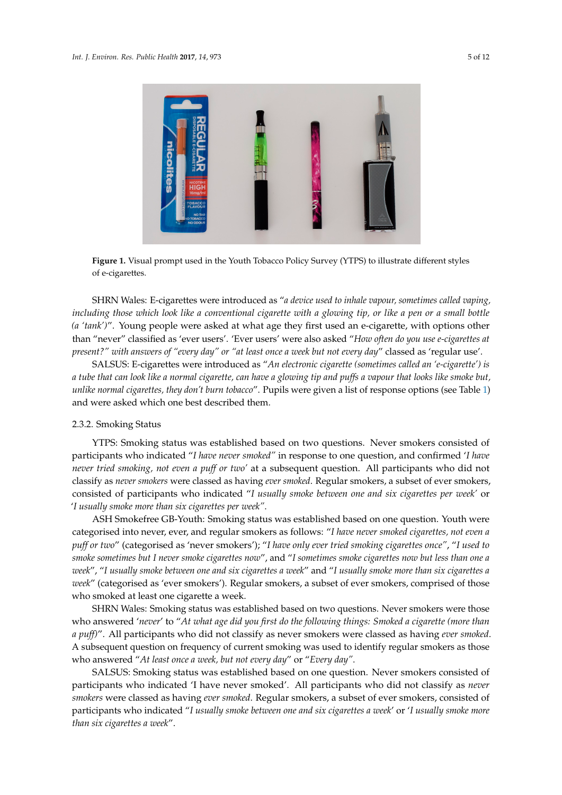<span id="page-4-0"></span>

**Figure 1.** Visual prompt used in the Youth Tobacco Policy Survey (YTPS) to illustrate different styles **Figure 1.** Visual prompt used in the Youth Tobacco Policy Survey (YTPS) to illustrate different styles of e-cigarettes. of e-cigarettes.

SHRN Wales: E-cigarettes were introduced as "*a device used to inhale vapour, sometimes called vaping, including those which look like a conventional cigarette with a glowing tip, or like a pen or a small bottle (a 'tank')*". Young people were asked at what age they first used an e-cigarette, with options other than "never" classified as 'ever users'. 'Ever users' were also asked "How often do you use e-cigarettes at present?" with answers of "every day" or "at least once a week but not every day<mark>" classed as 'regular use'</mark>.

SALSUS: E-cigarettes were introduced as "An electronic cigarette (sometimes called an 'e-cigarette') is a tube that can look like a normal cigarette, can have a glowing tip and puffs a vapour that looks like smoke but, other than "never" classified as 'ever users'. 'Ever users' were also asked "*How often do you use e-*unlike normal cigarettes, they don't burn tobacco''. Pupils were given a list of response options (see Table [1\)](#page-3-0)<br> and were asked which one best described them.

## SALSUS: E-cigarettes were introduced as "*An electronic cigarette (sometimes called an 'e-cigarette') is a tube that can look like a normal cigarette, can have a glowing tip and puffs a vapour that looks*  2.3.2. Smoking Status

YTPS: Smoking status was established based on two questions. Never smokers consisted of participants who indicated "*I have never smoked"* in response to one question, and confirmed '*I have never tried smoking, not even a puff or two'* at a subsequent question. All participants who did not consisted of participants who indicated "*I usually smoke between one and six cigarettes per week'* or participants who indicated "*I have never smoked"* in response to one question, and confirmed '*I have*  '*I usually smoke more than six cigarettes per week"*. classify as *never smokers* were classed as having *ever smoked*. Regular smokers, a subset of ever smokers,

*never tried smoking, not even a puff or two'* at a subsequent question. All participants who did not classify ASH Smokefree GB-Youth: Smoking status was established based on one question. Youth were categorised into never, ever, and regular smokers as follows: "I *have never smoked cigarettes, not even a usually smoke more than six cigarettes per week"*. *puff or two*" (categorised as 'never smokers'); "*I have only ever tried smoking cigarettes once"*, "*I used to smoke sometimes but I never smoke cigarettes now",* and "I sometimes smoke cigarettes now but less than one a week", "I usually smoke between one and six cigarettes a week" and "I usually smoke more than six cigarettes a week" (categorised as 'ever smokers'). Regular smokers, a subset of ever smokers, comprised of those who smoked at least one cigarette a week.

*a week*", "*I usually smoke between one and six cigarettes a week*" and "*I usually smoke more than six cigarettes*  SHRN Wales: Smoking status was established based on two questions. Never smokers were those who answered '*never*' to "*At what age did you first do the following things: Smoked a cigarette (more than a puff)*". All participants who did not classify as never smokers were classed as having *ever smoked*. A subsequent question on frequency of current smoking was used to identify regular smokers as those who answered "*At least once a week, but not every day*" or "*Every day"*.

SALSUS: Smoking status was established based on one question. Never smokers consisted of participants who indicated 'I have never smoked'. All participants who did not classify as *never smokers* were classed as having *ever smoked*. Regular smokers, a subset of ever smokers, consisted of participants who indicated "*I usually smoke between one and six cigarettes a week*' or '*I usually smoke more than six cigarettes a week*".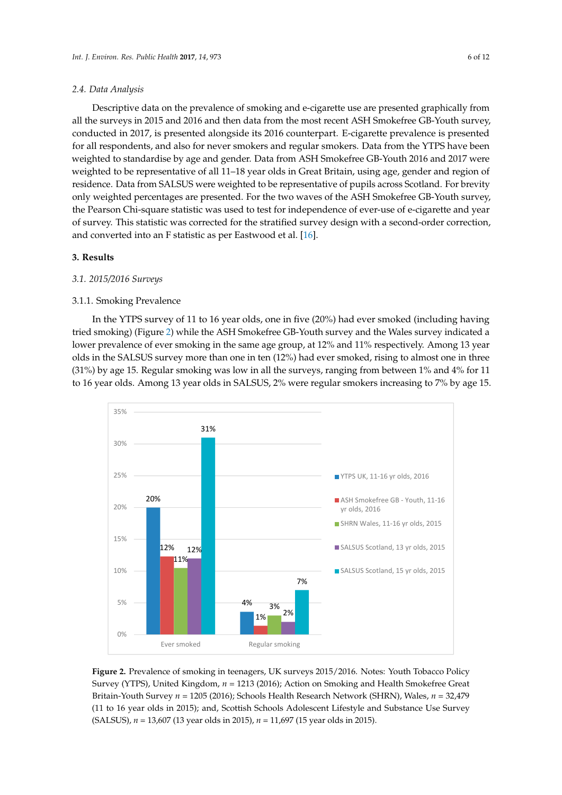#### *2.4. Data Analysis*

Descriptive data on the prevalence of smoking and e-cigarette use are presented graphically from all the surveys in 2015 and 2016 and then data from the most recent ASH Smokefree GB-Youth survey, conducted in 2017, is presented alongside its 2016 counterpart. E-cigarette prevalence is presented for all respondents, and also for never smokers and regular smokers. Data from the YTPS have been weighted to standardise by age and gender. Data from ASH Smokefree GB-Youth 2016 and 2017 were weighted to be representative of all 11–18 year olds in Great Britain, using age, gender and region of residence. Data from SALSUS were weighted to be representative of pupils across Scotland. For brevity only weighted percentages are presented. For the two waves of the ASH Smokefree GB-Youth survey, the Pearson Chi-square statistic was used to test for independence of ever-use of e-cigarette and year of survey. This statistic was corrected for the stratified survey design with a second-order correction, and converted into an F statistic as per Eastwood et al. [\[16\]](#page-10-14).

## **3. Results**

## *3.1. 2015/2016 Surveys*

#### 3.1.1. Smoking Prevalence

In the YTPS survey of 11 to 16 year olds, one in five (20%) had ever smoked (including having tried smoking) (Figure [2\)](#page-5-0) while the ASH Smokefree GB-Youth survey and the Wales survey indicated a lower prevalence of ever smoking in the same age group, at 12% and 11% respectively. Among 13 year olds in the SALSUS survey more than one in ten (12%) had ever smoked, rising to almost one in three (31%) by age 15. Regular smoking was low in all the surveys, ranging from between 1% and 4% for 11 to 16 year olds. Among 13 year olds in SALSUS, 2% were regular smokers increasing to 7% by age 15.

<span id="page-5-0"></span>

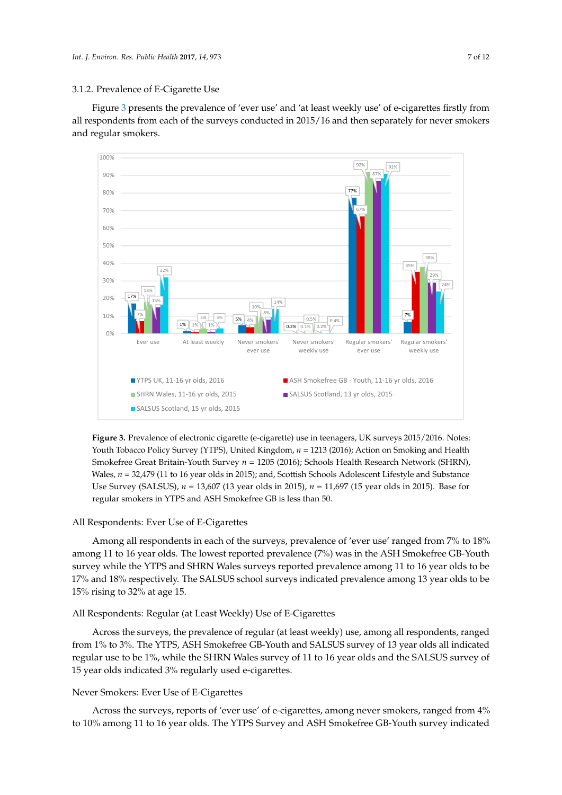#### 3.1.2. Prevalence of E-Cigarette Use

Figure [3](#page-6-0) presents the prevalence of 'ever use' and 'at least weekly use' of e-cigarettes firstly from all respondents from each of the surveys conducted in 2015/16 and then separately for never smokers and regular smokers. *Int. J. Environ. Res. Public Health* **2017**, *14*, 973 8 of 13

<span id="page-6-0"></span>

Figure 3. Prevalence of electronic cigarette (e-cigarette) use in teenagers, UK surveys 2015/2016. Notes: Youth Tobacco Policy Survey (YTPS), United Kingdom, *n* = 1213 (2016); Action on Smoking and Youth Tobacco Policy Survey (YTPS), United Kingdom, *n* = 1213 (2016); Action on Smoking and Health Health Smokefree Great Britain-Youth Survey *n* = 1205 (2016); Schools Health Research Network Smokefree Great Britain-Youth Survey *n* = 1205 (2016); Schools Health Research Network (SHRN), (SHRN), Wales, *n* = 32,479 (11 to 16 year olds in 2015); and, Scottish Schools Adolescent Lifestyle and Wales,  $n = 32,479$  (11 to 16 year olds in 2015); and, Scottish Schools Adolescent Lifestyle and Substance Use Survey (SALSUS), *n* = 13,607 (13 year olds in 2015), *n* = 11,697 (15 year olds in 2015). Base for regular smokers in YTPS and ASH Smokefree GB is less than 50.

## All Respondents: Ever Use of E-Cigarettes

Among all respondents in each of the surveys, prevalence of 'ever use' ranged from 7% to 18% among 11 to 16 year olds. The lowest reported prevalence (7%) was in the ASH Smokefree GB-Youth survey while the YTPS and SHRN Wales surveys reported prevalence among 11 to 16 year olds to be be 15% rising the 32% rising to 32% rising to 32% respectively. The SALSUS school surveys indicated prevalence among 13 year olds to be  $15\%$  rising to 32% at age 15.

## All Respondents: Regular (at Least Weekly) Use of E-Cigarettes  $\mathbf{r}$  to 3%. The YTPS, ASH Smokefree GB-Youth and SALSUS survey of 13 year olds allows survey of 13 year olds allows allows allows survey of 13 years allows survey of 13 years allows allows survey of 13 years allows al

Across the surveys, the prevalence of regular (at least weekly) use, among all respondents, ranged from 1% to 3%. The YTPS, ASH Smokefree GB-Youth and SALSUS survey of 13 year olds all indicated 15 year olds indicated 3% regularly used e-cigarettes. regular use to be 1%, while the SHRN Wales survey of 11 to 16 year olds and the SALSUS survey of

## Never Smokers: Ever Use of E-Cigarettes

 $\mathbf{5}$  and  $\mathbf{6}$  never smokers had ever used an e-cigarette while, in the SHRN Wales while, in the SHRN Wales while, in the SHRN Wales while, in the SHRN Wales while, in the SHRN Wales while, in the SHRN Wales while, Across the surveys, reports of 'ever use' of e-cigarettes, among never smokers, ranged from 4% of never smokers, ranged from 4% of never smokers, ranged from  $\frac{1}{2}$ to 10% among 11 to 16 year olds. The YTPS Survey and ASH Smokefree GB-Youth survey indicated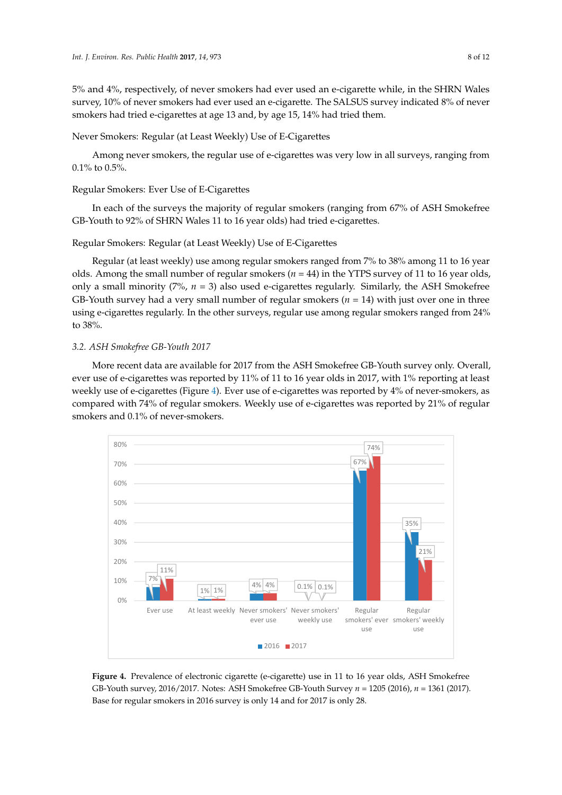5% and 4%, respectively, of never smokers had ever used an e-cigarette while, in the SHRN Wales survey, 10% of never smokers had ever used an e-cigarette. The SALSUS survey indicated 8% of never smokers had tried e-cigarettes at age 13 and, by age 15, 14% had tried them.

Never Smokers: Regular (at Least Weekly) Use of E-Cigarettes

Among never smokers, the regular use of e-cigarettes was very low in all surveys, ranging from<br>... . . . . . 0.1% to 0.5%.

## Regular Smokers: Ever Use of E-Cigarettes

In each of the surveys the majority of regular smokers (ranging from 67% of ASH Smokefree GB-Youth to 92% of SHRN Wales 11 to 16 year olds) had tried e-cigarettes.

Regular Smokers: Regular (at Least Weekly) Use of E-Cigarettes olds, only a small minority (7%, *n* = 3) also used e-cigarettes regularly. Similarly, the ASH Smokefree

Regular (at least weekly) use among regular smokers ranged from 7% to 38% among 11 to 16 year olds. Among the small number of regular smokers ( $n = 44$ ) in the YTPS survey of 11 to 16 year olds, only a small minority ( $7\%$ ,  $n = 3$ ) also used e-cigarettes regularly. Similarly, the ASH Smokefree GB-Youth survey had a very small number of regular smokers  $(n = 14)$  with just over one in three using e-cigarettes regularly. In the other surveys, regular use among regular smokers ranged from 24% to 38%.

## 3.2. ASH Smokefree GB-Youth 2017

More recent data are available for 2017 from the ASH Smokefree GB-Youth survey only. Overall, ever use of e-cigarettes was reported by  $11\%$  of  $11$  to  $16$  year olds in 2017, with  $1\%$  reporting at least weekly use of e-cigarettes (Figure 4). Ever use of e-cigarettes was reported by 4% of never-smokers*,* as compared with 74% of regular smokers. Weekly use of e-cigarettes was reported by 21% of regular smokers and 0.1% of never-smokers. as compared with  $74.4$  of regular smokers. We except use of e-cigarettes was reported by  $21.2$ wore recent data are available for

<span id="page-7-0"></span>

**Figure 4.** Prevalence of electronic cigarette (e-cigarette) use in 11 to 16 year olds, ASH Smokefree **Figure 4.** Prevalence of electronic cigarette (e-cigarette) use in 11 to 16 year olds, ASH Smokefree GB-Youth survey, 2016/2017. Notes: ASH Smokefree GB-Youth Survey  $n = 1205$  (2016),  $n = 1361$  (2017). Base for regular smokers in 2016 survey is only 14 and for 2017 is only 28. Base for regular smokers in 2016 survey is only 14 and for 2017 is only 28.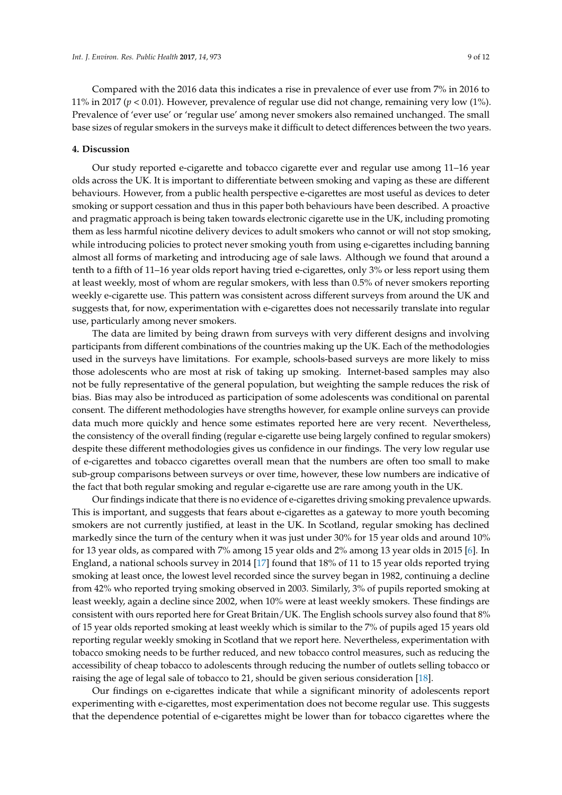Compared with the 2016 data this indicates a rise in prevalence of ever use from 7% in 2016 to 11% in 2017 (*p* < 0.01). However, prevalence of regular use did not change, remaining very low (1%). Prevalence of 'ever use' or 'regular use' among never smokers also remained unchanged. The small base sizes of regular smokers in the surveys make it difficult to detect differences between the two years.

#### **4. Discussion**

Our study reported e-cigarette and tobacco cigarette ever and regular use among 11–16 year olds across the UK. It is important to differentiate between smoking and vaping as these are different behaviours. However, from a public health perspective e-cigarettes are most useful as devices to deter smoking or support cessation and thus in this paper both behaviours have been described. A proactive and pragmatic approach is being taken towards electronic cigarette use in the UK, including promoting them as less harmful nicotine delivery devices to adult smokers who cannot or will not stop smoking, while introducing policies to protect never smoking youth from using e-cigarettes including banning almost all forms of marketing and introducing age of sale laws. Although we found that around a tenth to a fifth of 11–16 year olds report having tried e-cigarettes, only 3% or less report using them at least weekly, most of whom are regular smokers, with less than 0.5% of never smokers reporting weekly e-cigarette use. This pattern was consistent across different surveys from around the UK and suggests that, for now, experimentation with e-cigarettes does not necessarily translate into regular use, particularly among never smokers.

The data are limited by being drawn from surveys with very different designs and involving participants from different combinations of the countries making up the UK. Each of the methodologies used in the surveys have limitations. For example, schools-based surveys are more likely to miss those adolescents who are most at risk of taking up smoking. Internet-based samples may also not be fully representative of the general population, but weighting the sample reduces the risk of bias. Bias may also be introduced as participation of some adolescents was conditional on parental consent. The different methodologies have strengths however, for example online surveys can provide data much more quickly and hence some estimates reported here are very recent. Nevertheless, the consistency of the overall finding (regular e-cigarette use being largely confined to regular smokers) despite these different methodologies gives us confidence in our findings. The very low regular use of e-cigarettes and tobacco cigarettes overall mean that the numbers are often too small to make sub-group comparisons between surveys or over time, however, these low numbers are indicative of the fact that both regular smoking and regular e-cigarette use are rare among youth in the UK.

Our findings indicate that there is no evidence of e-cigarettes driving smoking prevalence upwards. This is important, and suggests that fears about e-cigarettes as a gateway to more youth becoming smokers are not currently justified, at least in the UK. In Scotland, regular smoking has declined markedly since the turn of the century when it was just under 30% for 15 year olds and around 10% for 13 year olds, as compared with 7% among 15 year olds and 2% among 13 year olds in 2015 [\[6\]](#page-10-4). In England, a national schools survey in 2014 [\[17\]](#page-10-15) found that 18% of 11 to 15 year olds reported trying smoking at least once, the lowest level recorded since the survey began in 1982, continuing a decline from 42% who reported trying smoking observed in 2003. Similarly, 3% of pupils reported smoking at least weekly, again a decline since 2002, when 10% were at least weekly smokers. These findings are consistent with ours reported here for Great Britain/UK. The English schools survey also found that 8% of 15 year olds reported smoking at least weekly which is similar to the 7% of pupils aged 15 years old reporting regular weekly smoking in Scotland that we report here. Nevertheless, experimentation with tobacco smoking needs to be further reduced, and new tobacco control measures, such as reducing the accessibility of cheap tobacco to adolescents through reducing the number of outlets selling tobacco or raising the age of legal sale of tobacco to 21, should be given serious consideration [\[18\]](#page-11-0).

Our findings on e-cigarettes indicate that while a significant minority of adolescents report experimenting with e-cigarettes, most experimentation does not become regular use. This suggests that the dependence potential of e-cigarettes might be lower than for tobacco cigarettes where the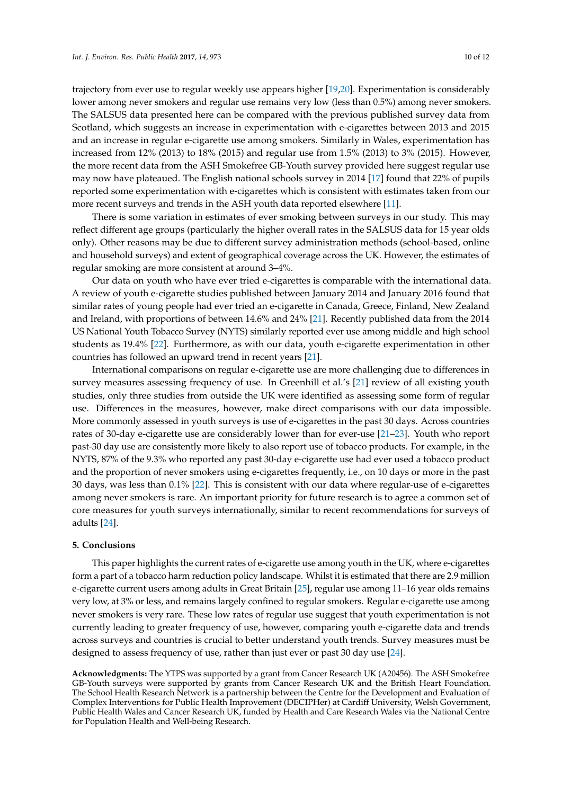trajectory from ever use to regular weekly use appears higher [\[19,](#page-11-1)[20\]](#page-11-2). Experimentation is considerably lower among never smokers and regular use remains very low (less than 0.5%) among never smokers. The SALSUS data presented here can be compared with the previous published survey data from Scotland, which suggests an increase in experimentation with e-cigarettes between 2013 and 2015 and an increase in regular e-cigarette use among smokers. Similarly in Wales, experimentation has increased from 12% (2013) to 18% (2015) and regular use from 1.5% (2013) to 3% (2015). However, the more recent data from the ASH Smokefree GB-Youth survey provided here suggest regular use may now have plateaued. The English national schools survey in 2014 [\[17\]](#page-10-15) found that 22% of pupils reported some experimentation with e-cigarettes which is consistent with estimates taken from our more recent surveys and trends in the ASH youth data reported elsewhere [\[11\]](#page-10-10).

There is some variation in estimates of ever smoking between surveys in our study. This may reflect different age groups (particularly the higher overall rates in the SALSUS data for 15 year olds only). Other reasons may be due to different survey administration methods (school-based, online and household surveys) and extent of geographical coverage across the UK. However, the estimates of regular smoking are more consistent at around 3–4%.

Our data on youth who have ever tried e-cigarettes is comparable with the international data. A review of youth e-cigarette studies published between January 2014 and January 2016 found that similar rates of young people had ever tried an e-cigarette in Canada, Greece, Finland, New Zealand and Ireland, with proportions of between 14.6% and 24% [\[21\]](#page-11-3). Recently published data from the 2014 US National Youth Tobacco Survey (NYTS) similarly reported ever use among middle and high school students as 19.4% [\[22\]](#page-11-4). Furthermore, as with our data, youth e-cigarette experimentation in other countries has followed an upward trend in recent years [\[21\]](#page-11-3).

International comparisons on regular e-cigarette use are more challenging due to differences in survey measures assessing frequency of use. In Greenhill et al.'s [\[21\]](#page-11-3) review of all existing youth studies, only three studies from outside the UK were identified as assessing some form of regular use. Differences in the measures, however, make direct comparisons with our data impossible. More commonly assessed in youth surveys is use of e-cigarettes in the past 30 days. Across countries rates of 30-day e-cigarette use are considerably lower than for ever-use [\[21](#page-11-3)[–23\]](#page-11-5). Youth who report past-30 day use are consistently more likely to also report use of tobacco products. For example, in the NYTS, 87% of the 9.3% who reported any past 30-day e-cigarette use had ever used a tobacco product and the proportion of never smokers using e-cigarettes frequently, i.e., on 10 days or more in the past 30 days, was less than 0.1% [\[22\]](#page-11-4). This is consistent with our data where regular-use of e-cigarettes among never smokers is rare. An important priority for future research is to agree a common set of core measures for youth surveys internationally, similar to recent recommendations for surveys of adults [\[24\]](#page-11-6).

#### **5. Conclusions**

This paper highlights the current rates of e-cigarette use among youth in the UK, where e-cigarettes form a part of a tobacco harm reduction policy landscape. Whilst it is estimated that there are 2.9 million e-cigarette current users among adults in Great Britain [\[25\]](#page-11-7), regular use among 11–16 year olds remains very low, at 3% or less, and remains largely confined to regular smokers. Regular e-cigarette use among never smokers is very rare. These low rates of regular use suggest that youth experimentation is not currently leading to greater frequency of use, however, comparing youth e-cigarette data and trends across surveys and countries is crucial to better understand youth trends. Survey measures must be designed to assess frequency of use, rather than just ever or past 30 day use [\[24\]](#page-11-6).

**Acknowledgments:** The YTPS was supported by a grant from Cancer Research UK (A20456). The ASH Smokefree GB-Youth surveys were supported by grants from Cancer Research UK and the British Heart Foundation. The School Health Research Network is a partnership between the Centre for the Development and Evaluation of Complex Interventions for Public Health Improvement (DECIPHer) at Cardiff University, Welsh Government, Public Health Wales and Cancer Research UK, funded by Health and Care Research Wales via the National Centre for Population Health and Well-being Research.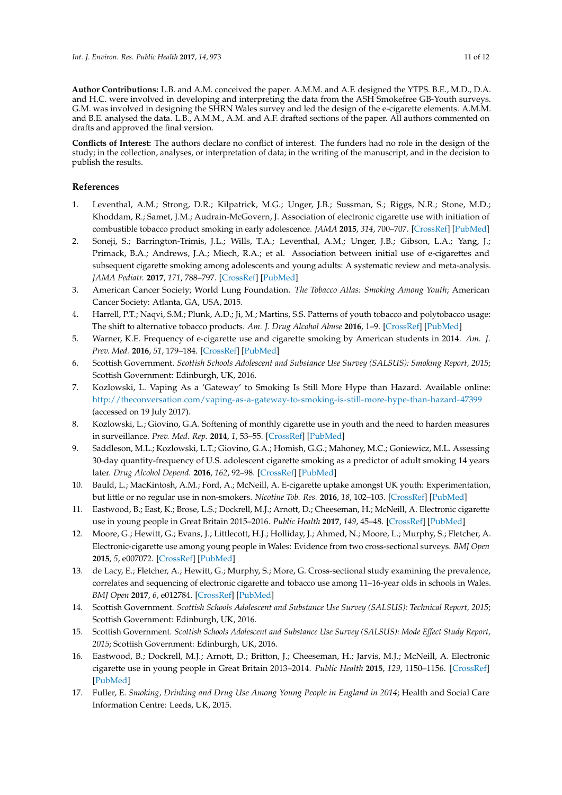**Author Contributions:** L.B. and A.M. conceived the paper. A.M.M. and A.F. designed the YTPS. B.E., M.D., D.A. and H.C. were involved in developing and interpreting the data from the ASH Smokefree GB-Youth surveys. G.M. was involved in designing the SHRN Wales survey and led the design of the e-cigarette elements. A.M.M. and B.E. analysed the data. L.B., A.M.M., A.M. and A.F. drafted sections of the paper. All authors commented on drafts and approved the final version.

**Conflicts of Interest:** The authors declare no conflict of interest. The funders had no role in the design of the study; in the collection, analyses, or interpretation of data; in the writing of the manuscript, and in the decision to publish the results.

## **References**

- <span id="page-10-0"></span>1. Leventhal, A.M.; Strong, D.R.; Kilpatrick, M.G.; Unger, J.B.; Sussman, S.; Riggs, N.R.; Stone, M.D.; Khoddam, R.; Samet, J.M.; Audrain-McGovern, J. Association of electronic cigarette use with initiation of combustible tobacco product smoking in early adolescence. *JAMA* **2015**, *314*, 700–707. [\[CrossRef\]](http://dx.doi.org/10.1001/jama.2015.8950) [\[PubMed\]](http://www.ncbi.nlm.nih.gov/pubmed/26284721)
- <span id="page-10-1"></span>2. Soneji, S.; Barrington-Trimis, J.L.; Wills, T.A.; Leventhal, A.M.; Unger, J.B.; Gibson, L.A.; Yang, J.; Primack, B.A.; Andrews, J.A.; Miech, R.A.; et al. Association between initial use of e-cigarettes and subsequent cigarette smoking among adolescents and young adults: A systematic review and meta-analysis. *JAMA Pediatr.* **2017**, *171*, 788–797. [\[CrossRef\]](http://dx.doi.org/10.1001/jamapediatrics.2017.1488) [\[PubMed\]](http://www.ncbi.nlm.nih.gov/pubmed/28654986)
- <span id="page-10-2"></span>3. American Cancer Society; World Lung Foundation. *The Tobacco Atlas: Smoking Among Youth*; American Cancer Society: Atlanta, GA, USA, 2015.
- <span id="page-10-3"></span>4. Harrell, P.T.; Naqvi, S.M.; Plunk, A.D.; Ji, M.; Martins, S.S. Patterns of youth tobacco and polytobacco usage: The shift to alternative tobacco products. *Am. J. Drug Alcohol Abuse* **2016**, 1–9. [\[CrossRef\]](http://dx.doi.org/10.1080/00952990.2016.1225072) [\[PubMed\]](http://www.ncbi.nlm.nih.gov/pubmed/27668320)
- <span id="page-10-6"></span>5. Warner, K.E. Frequency of e-cigarette use and cigarette smoking by American students in 2014. *Am. J. Prev. Med.* **2016**, *51*, 179–184. [\[CrossRef\]](http://dx.doi.org/10.1016/j.amepre.2015.12.004) [\[PubMed\]](http://www.ncbi.nlm.nih.gov/pubmed/26821834)
- <span id="page-10-4"></span>6. Scottish Government. *Scottish Schools Adolescent and Substance Use Survey (SALSUS): Smoking Report, 2015*; Scottish Government: Edinburgh, UK, 2016.
- <span id="page-10-5"></span>7. Kozlowski, L. Vaping As a 'Gateway' to Smoking Is Still More Hype than Hazard. Available online: <http://theconversation.com/vaping-as-a-gateway-to-smoking-is-still-more-hype-than-hazard-47399> (accessed on 19 July 2017).
- <span id="page-10-7"></span>8. Kozlowski, L.; Giovino, G.A. Softening of monthly cigarette use in youth and the need to harden measures in surveillance. *Prev. Med. Rep.* **2014**, *1*, 53–55. [\[CrossRef\]](http://dx.doi.org/10.1016/j.pmedr.2014.10.003) [\[PubMed\]](http://www.ncbi.nlm.nih.gov/pubmed/26844040)
- <span id="page-10-8"></span>9. Saddleson, M.L.; Kozlowski, L.T.; Giovino, G.A.; Homish, G.G.; Mahoney, M.C.; Goniewicz, M.L. Assessing 30-day quantity-frequency of U.S. adolescent cigarette smoking as a predictor of adult smoking 14 years later. *Drug Alcohol Depend.* **2016**, *162*, 92–98. [\[CrossRef\]](http://dx.doi.org/10.1016/j.drugalcdep.2016.02.043) [\[PubMed\]](http://www.ncbi.nlm.nih.gov/pubmed/26987520)
- <span id="page-10-9"></span>10. Bauld, L.; MacKintosh, A.M.; Ford, A.; McNeill, A. E-cigarette uptake amongst UK youth: Experimentation, but little or no regular use in non-smokers. *Nicotine Tob. Res.* **2016**, *18*, 102–103. [\[CrossRef\]](http://dx.doi.org/10.1093/ntr/ntv132) [\[PubMed\]](http://www.ncbi.nlm.nih.gov/pubmed/26250882)
- <span id="page-10-10"></span>11. Eastwood, B.; East, K.; Brose, L.S.; Dockrell, M.J.; Arnott, D.; Cheeseman, H.; McNeill, A. Electronic cigarette use in young people in Great Britain 2015–2016. *Public Health* **2017**, *149*, 45–48. [\[CrossRef\]](http://dx.doi.org/10.1016/j.puhe.2017.03.019) [\[PubMed\]](http://www.ncbi.nlm.nih.gov/pubmed/28531448)
- 12. Moore, G.; Hewitt, G.; Evans, J.; Littlecott, H.J.; Holliday, J.; Ahmed, N.; Moore, L.; Murphy, S.; Fletcher, A. Electronic-cigarette use among young people in Wales: Evidence from two cross-sectional surveys. *BMJ Open* **2015**, *5*, e007072. [\[CrossRef\]](http://dx.doi.org/10.1136/bmjopen-2014-007072) [\[PubMed\]](http://www.ncbi.nlm.nih.gov/pubmed/25877272)
- <span id="page-10-11"></span>13. de Lacy, E.; Fletcher, A.; Hewitt, G.; Murphy, S.; More, G. Cross-sectional study examining the prevalence, correlates and sequencing of electronic cigarette and tobacco use among 11–16-year olds in schools in Wales. *BMJ Open* **2017**, *6*, e012784. [\[CrossRef\]](http://dx.doi.org/10.1136/bmjopen-2016-012784) [\[PubMed\]](http://www.ncbi.nlm.nih.gov/pubmed/28159848)
- <span id="page-10-12"></span>14. Scottish Government. *Scottish Schools Adolescent and Substance Use Survey (SALSUS): Technical Report, 2015*; Scottish Government: Edinburgh, UK, 2016.
- <span id="page-10-13"></span>15. Scottish Government. *Scottish Schools Adolescent and Substance Use Survey (SALSUS): Mode Effect Study Report, 2015*; Scottish Government: Edinburgh, UK, 2016.
- <span id="page-10-14"></span>16. Eastwood, B.; Dockrell, M.J.; Arnott, D.; Britton, J.; Cheeseman, H.; Jarvis, M.J.; McNeill, A. Electronic cigarette use in young people in Great Britain 2013–2014. *Public Health* **2015**, *129*, 1150–1156. [\[CrossRef\]](http://dx.doi.org/10.1016/j.puhe.2015.07.009) [\[PubMed\]](http://www.ncbi.nlm.nih.gov/pubmed/26293814)
- <span id="page-10-15"></span>17. Fuller, E. *Smoking, Drinking and Drug Use Among Young People in England in 2014*; Health and Social Care Information Centre: Leeds, UK, 2015.